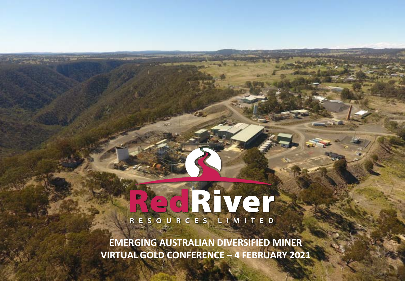# RESOURCES LIMITED

**EMERGING AUSTRALIAN DIVERSIFIED MINER VIRTUAL GOLD CONFERENCE – 4 FEBRUARY 2021**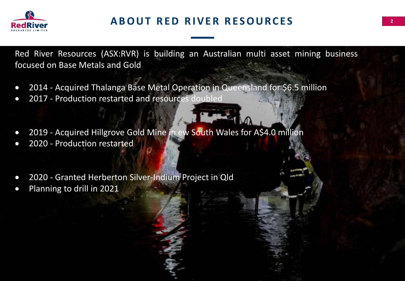

Red River Resources (ASX:RVR) is building an Australian multi asset mining business focused on Base Metals and Gold

- 2014 Acquired Thalanga Base Metal Operation in Queensland for \$6.5 million
- 2017 Production restarted and resources doubled
- 2019 Acquired Hillgrove Gold Mine in ew South Wales for A\$4.0 million
- 2020 Production restarted
- 2020 Granted Herberton Silver-Indium Project in Qld
- Planning to drill in 2021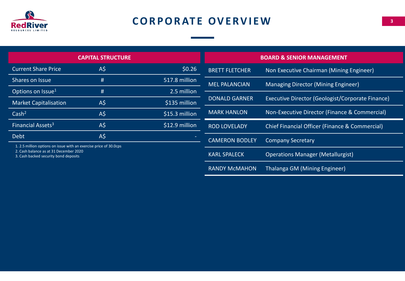

# **CORPORATE OVERVIEW**

|                                                                                 | <b>CAPITAL STRUCTURE</b> |                | <b>BOARD &amp; SENIOR MANAGEMENT</b> |                                                  |  |  |
|---------------------------------------------------------------------------------|--------------------------|----------------|--------------------------------------|--------------------------------------------------|--|--|
| <b>Current Share Price</b>                                                      | $A\overline{S}$          | \$0.26         | <b>BRETT FLETCHER</b>                | Non Executive Chairman (Mining Engineer)         |  |  |
| Shares on Issue                                                                 | #                        | 517.8 million  | <b>MEL PALANCIAN</b>                 | Managing Director (Mining Engineer)              |  |  |
| Options on Issue <sup>1</sup>                                                   | #                        | 2.5 million    |                                      |                                                  |  |  |
| <b>Market Capitalisation</b>                                                    | $A\overline{S}$          | $$135$ million | <b>DONALD GARNER</b>                 | Executive Director (Geologist/Corporate Finance) |  |  |
| Cash <sup>2</sup>                                                               | $A\overline{S}$          | \$15.3 million | <b>MARK HANLON</b>                   | Non-Executive Director (Finance & Commercial)    |  |  |
| Financial Assets <sup>3</sup>                                                   | $A\overline{S}$          | \$12.9 million | <b>ROD LOVELADY</b>                  | Chief Financial Officer (Finance & Commercial)   |  |  |
| <b>Debt</b>                                                                     | $A\overline{S}$          |                | <b>CAMERON BODLEY</b>                | <b>Company Secretary</b>                         |  |  |
| 1.2.5 million options on issue with an exercise price of 30.0cps                |                          |                |                                      |                                                  |  |  |
| 2. Cash balance as at 31 December 2020<br>3. Cash backed security bond deposits |                          |                | <b>KARL SPALECK</b>                  | <b>Operations Manager (Metallurgist)</b>         |  |  |
|                                                                                 |                          |                | <b>RANDY McMAHON</b>                 | Thalanga GM (Mining Engineer)                    |  |  |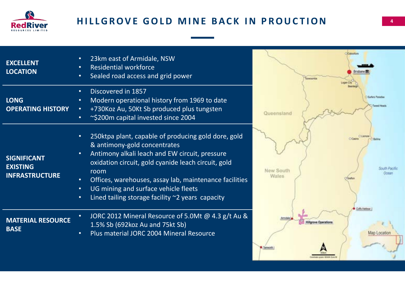

### **HILLGROVE GOLD MINE BACK IN PROUCTION**

| <b>EXCELLENT</b><br><b>LOCATION</b>                            | 23km east of Armidale, NSW<br><b>Residential workforce</b><br>Sealed road access and grid power<br>$\bullet$                                                                                                                                                                                                                                                                                                         |
|----------------------------------------------------------------|----------------------------------------------------------------------------------------------------------------------------------------------------------------------------------------------------------------------------------------------------------------------------------------------------------------------------------------------------------------------------------------------------------------------|
| <b>LONG</b><br><b>OPERATING HISTORY</b>                        | Discovered in 1857<br>$\bullet$<br>Modern operational history from 1969 to date<br>$\bullet$<br>+730Koz Au, 50Kt Sb produced plus tungsten<br>$\bullet$<br>~\$200m capital invested since 2004<br>$\bullet$                                                                                                                                                                                                          |
| <b>SIGNIFICANT</b><br><b>EXISTING</b><br><b>INFRASTRUCTURE</b> | 250ktpa plant, capable of producing gold dore, gold<br>$\bullet$<br>& antimony-gold concentrates<br>Antimony alkali leach and EW circuit, pressure<br>$\bullet$<br>oxidation circuit, gold cyanide leach circuit, gold<br>room<br>Offices, warehouses, assay lab, maintenance facilities<br>UG mining and surface vehicle fleets<br>$\bullet$<br>Lined tailing storage facility $\sim$ 2 years capacity<br>$\bullet$ |
| <b>MATERIAL RESOURCE</b><br><b>BASE</b>                        | JORC 2012 Mineral Resource of 5.0Mt @ 4.3 g/t Au &<br>$\bullet$<br>1.5% Sb (692koz Au and 75kt Sb)<br>Plus material JORC 2004 Mineral Resource<br>$\bullet$                                                                                                                                                                                                                                                          |

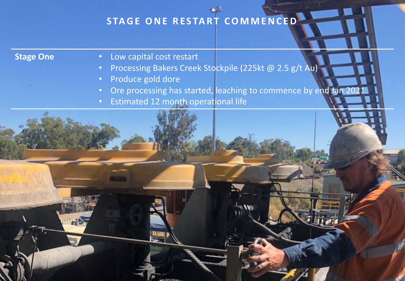# STAGE ONE RESTART COMMENCED

- **Stage One**  Low capital cost restart
	- Processing Bakers Creek Stockpile (225kt @ 2.5 g/t Au)
	- Produce gold dore
	- Ore processing has started, leaching to commence by end Jan 202
	- Estimated 12 month operational life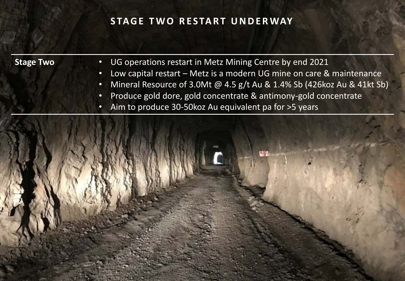### **STAGE TWO RESTART UNDERWAY**

- **Stage Two**  UG operations restart in Metz Mining Centre by end 2021
	- Low capital restart Metz is a modern UG mine on care & maintenance
	- Mineral Resource of 3.0Mt @ 4.5 g/t Au & 1.4% Sb (426koz Au & 41kt Sb)
	- Produce gold dore, gold concentrate & antimony-gold concentrate
	- Aim to produce 30-50koz Au equivalent pa for >5 years

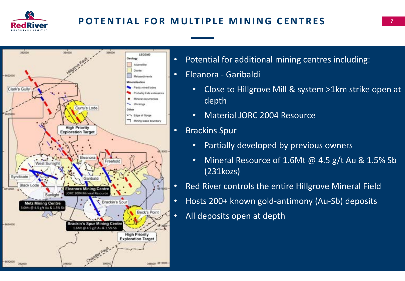

## **POTENTIAL FOR MULTIPLE MINING CENTRES**



- Potential for additional mining centres including:
- Eleanora Garibaldi
	- Close to Hillgrove Mill & system >1km strike open at depth
	- Material JORC 2004 Resource
- Brackins Spur
	- Partially developed by previous owners
	- Mineral Resource of 1.6Mt @ 4.5 g/t Au & 1.5% Sb (231kozs)
- Red River controls the entire Hillgrove Mineral Field
- Hosts 200+ known gold-antimony (Au-Sb) deposits
- All deposits open at depth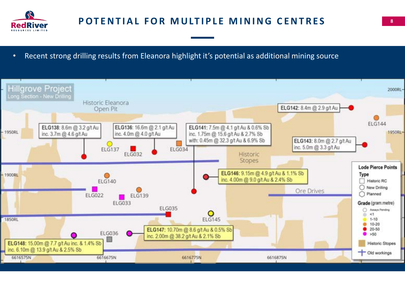

• Recent strong drilling results from Eleanora highlight it's potential as additional mining source

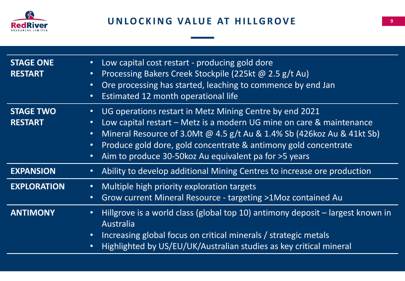

| <b>STAGE ONE</b><br><b>RESTART</b> | Low capital cost restart - producing gold dore<br>$\bullet$<br>Processing Bakers Creek Stockpile (225kt @ 2.5 g/t Au)<br>$\bullet$<br>Ore processing has started, leaching to commence by end Jan<br>$\bullet$<br>Estimated 12 month operational life<br>$\bullet$                                                                                                                                       |
|------------------------------------|----------------------------------------------------------------------------------------------------------------------------------------------------------------------------------------------------------------------------------------------------------------------------------------------------------------------------------------------------------------------------------------------------------|
| <b>STAGE TWO</b><br><b>RESTART</b> | UG operations restart in Metz Mining Centre by end 2021<br>$\bullet$<br>Low capital restart – Metz is a modern UG mine on care & maintenance<br>$\bullet$<br>Mineral Resource of 3.0Mt @ 4.5 g/t Au & 1.4% Sb (426koz Au & 41kt Sb)<br>$\bullet$<br>Produce gold dore, gold concentrate & antimony gold concentrate<br>$\bullet$<br>Aim to produce 30-50 koz Au equivalent pa for > 5 years<br>$\bullet$ |
| <b>EXPANSION</b>                   | Ability to develop additional Mining Centres to increase ore production                                                                                                                                                                                                                                                                                                                                  |
| <b>EXPLORATION</b>                 | Multiple high priority exploration targets<br>$\bullet$<br>Grow current Mineral Resource - targeting >1Moz contained Au<br>$\bullet$                                                                                                                                                                                                                                                                     |
| <b>ANTIMONY</b>                    | Hillgrove is a world class (global top 10) antimony deposit – largest known in<br>$\bullet$<br>Australia<br>Increasing global focus on critical minerals / strategic metals<br>$\bullet$<br>Highlighted by US/EU/UK/Australian studies as key critical mineral<br>$\bullet$                                                                                                                              |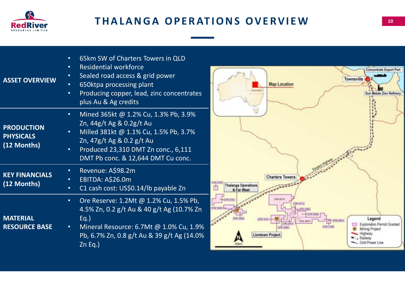

| <b>ASSET OVERVIEW</b>                                | 65km SW of Charters Towers in QLD<br><b>Residential workforce</b><br>$\bullet$<br>Sealed road access & grid power<br>$\bullet$<br>650ktpa processing plant<br>Producing copper, lead, zinc concentrates<br>$\bullet$<br>plus Au & Ag credits  |  |
|------------------------------------------------------|-----------------------------------------------------------------------------------------------------------------------------------------------------------------------------------------------------------------------------------------------|--|
| <b>PRODUCTION</b><br><b>PHYSICALS</b><br>(12 Months) | Mined 365kt @ 1.2% Cu, 1.3% Pb, 3.9%<br>$\bullet$<br>Zn, 44g/t Ag & 0.2g/t Au<br>Milled 381kt @ 1.1% Cu, 1.5% Pb, 3.7%<br>Zn, 47g/t Ag & 0.2 g/t Au<br>Produced 23,310 DMT Zn conc., 6,111<br>$\bullet$<br>DMT Pb conc. & 12,644 DMT Cu conc. |  |
| <b>KEY FINANCIALS</b><br>(12 Months)                 | Revenue: A\$98.2m<br>$\bullet$<br>EBITDA: A\$26.0m<br>C1 cash cost: US\$0.14/lb payable Zn<br>$\bullet$                                                                                                                                       |  |
| <b>MATERIAL</b><br><b>RESOURCE BASE</b>              | Ore Reserve: 1.2Mt @ 1.2% Cu, 1.5% Pb,<br>$\bullet$<br>4.5% Zn, 0.2 g/t Au & 40 g/t Ag (10.7% Zn<br>$Eq.$ )<br>Mineral Resource: 6.7Mt @ 1.0% Cu, 1.9%<br>$\bullet$<br>Pb, 6.7% Zn, 0.8 g/t Au & 39 g/t Ag (14.0%<br>$Zn$ Eq.)                |  |

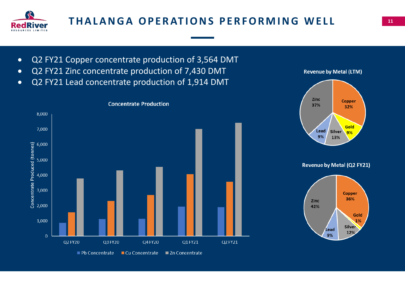

# **THALANGA OPERATIONS PERFORMING WELL THALANGA OPERATIONS PERFORMING WELL**

- Q2 FY21 Copper concentrate production of 3,564 DMT
- Q2 FY21 Zinc concentrate production of 7,430 DMT
- Q2 FY21 Lead concentrate production of 1,914 DMT





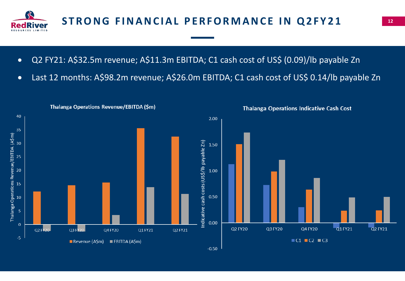

- Q2 FY21: A\$32.5m revenue; A\$11.3m EBITDA; C1 cash cost of US\$ (0.09)/lb payable Zn
- Last 12 months: A\$98.2m revenue; A\$26.0m EBITDA; C1 cash cost of US\$ 0.14/lb payable Zn

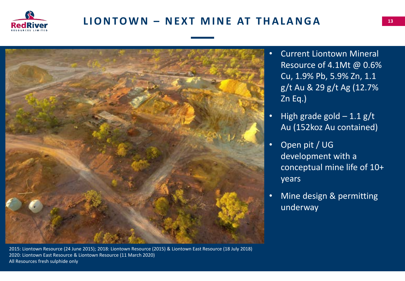

## **LIONTOWN – NEXT MINE AT THALANGA**



2015: Liontown Resource (24 June 2015); 2018: Liontown Resource (2015) & Liontown East Resource (18 July 2018) 2020: Liontown East Resource & Liontown Resource (11 March 2020) All Resources fresh sulphide only

- Current Liontown Mineral Resource of 4.1Mt @ 0.6% Cu, 1.9% Pb, 5.9% Zn, 1.1 g/t Au & 29 g/t Ag (12.7% Zn Eq.)
- High grade gold  $-1.1$  g/t Au (152koz Au contained)
- Open pit / UG development with a conceptual mine life of 10+ years
- Mine design & permitting underway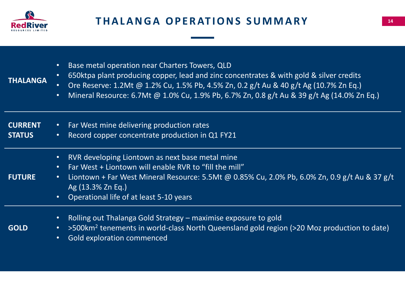

| <b>THALANGA</b>                 | Base metal operation near Charters Towers, QLD<br>$\bullet$<br>650ktpa plant producing copper, lead and zinc concentrates & with gold & silver credits<br>$\bullet$<br>Ore Reserve: 1.2Mt @ 1.2% Cu, 1.5% Pb, 4.5% Zn, 0.2 g/t Au & 40 g/t Ag (10.7% Zn Eq.)<br>Mineral Resource: 6.7Mt @ 1.0% Cu, 1.9% Pb, 6.7% Zn, 0.8 g/t Au & 39 g/t Ag (14.0% Zn Eq.)<br>$\bullet$ |
|---------------------------------|-------------------------------------------------------------------------------------------------------------------------------------------------------------------------------------------------------------------------------------------------------------------------------------------------------------------------------------------------------------------------|
| <b>CURRENT</b><br><b>STATUS</b> | Far West mine delivering production rates<br>$\bullet$ .<br>Record copper concentrate production in Q1 FY21<br>$\bullet$                                                                                                                                                                                                                                                |
| <b>FUTURE</b>                   | RVR developing Liontown as next base metal mine<br>$\bullet$<br>Far West + Liontown will enable RVR to "fill the mill"<br>$\bullet$ .<br>Liontown + Far West Mineral Resource: 5.5Mt @ 0.85% Cu, 2.0% Pb, 6.0% Zn, 0.9 g/t Au & 37 g/t<br>$\bullet$ .<br>Ag (13.3% Zn Eq.)<br>Operational life of at least 5-10 years<br>$\bullet$                                      |
| <b>GOLD</b>                     | Rolling out Thalanga Gold Strategy – maximise exposure to gold<br>$\bullet$<br>>500km <sup>2</sup> tenements in world-class North Queensland gold region (>20 Moz production to date)<br>$\bullet$ .<br><b>Gold exploration commenced</b><br>$\bullet$                                                                                                                  |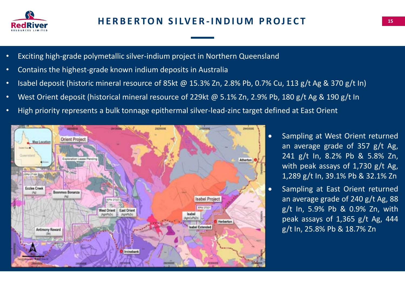

- Exciting high-grade polymetallic silver-indium project in Northern Queensland
- Contains the highest-grade known indium deposits in Australia
- Isabel deposit (historic mineral resource of 85kt @ 15.3% Zn, 2.8% Pb, 0.7% Cu, 113 g/t Ag & 370 g/t In)
- West Orient deposit (historical mineral resource of 229kt @ 5.1% Zn, 2.9% Pb, 180 g/t Ag & 190 g/t In
- High priority represents a bulk tonnage epithermal silver-lead-zinc target defined at East Orient



- Sampling at West Orient returned an average grade of 357 g/t Ag, 241 g/t In, 8.2% Pb & 5.8% Zn, with peak assays of  $1,730$  g/t Ag, 1,289 g/t In, 39.1% Pb & 32.1% Zn
- Sampling at East Orient returned an average grade of 240 g/t Ag, 88 g/t In, 5.9% Pb & 0.9% Zn, with peak assays of 1,365 g/t Ag, 444 g/t In, 25.8% Pb & 18.7% Zn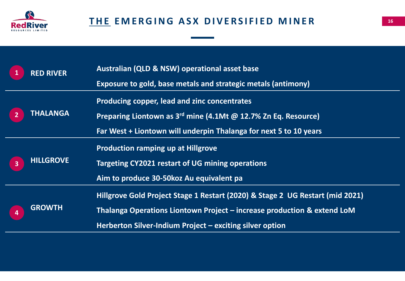

| $\mathbf 1$             | <b>RED RIVER</b> | Australian (QLD & NSW) operational asset base<br>Exposure to gold, base metals and strategic metals (antimony)                                                                                                       |
|-------------------------|------------------|----------------------------------------------------------------------------------------------------------------------------------------------------------------------------------------------------------------------|
| $\overline{2}$          | <b>THALANGA</b>  | Producing copper, lead and zinc concentrates<br>Preparing Liontown as 3 <sup>rd</sup> mine (4.1Mt @ 12.7% Zn Eq. Resource)<br>Far West + Liontown will underpin Thalanga for next 5 to 10 years                      |
| $\overline{\mathbf{3}}$ | <b>HILLGROVE</b> | <b>Production ramping up at Hillgrove</b><br>Targeting CY2021 restart of UG mining operations<br>Aim to produce 30-50 koz Au equivalent pa                                                                           |
| $\overline{\mathbf{4}}$ | <b>GROWTH</b>    | Hillgrove Gold Project Stage 1 Restart (2020) & Stage 2 UG Restart (mid 2021)<br>Thalanga Operations Liontown Project – increase production & extend LoM<br>Herberton Silver-Indium Project – exciting silver option |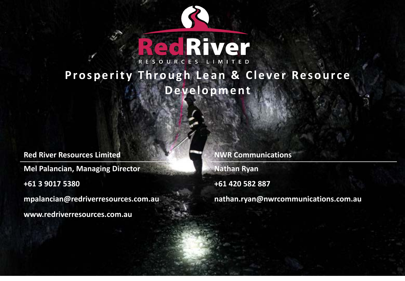

# **Prosperity Through Lean & Clever Resource D e v e l o p m e n t**

**Red River Resources Limited <b>Red River Resources Limited NWR Communications Mel Palancian, Managing Director Nathan Ryan +61 3 9017 5380 +61 420 582 887 mpalancian@redriverresources.com.au nathan.ryan@nwrcommunications.com.au**

**www.redriverresources.com.au**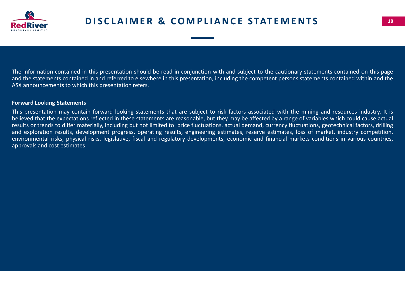

The information contained in this presentation should be read in conjunction with and subject to the cautionary statements contained on this page and the statements contained in and referred to elsewhere in this presentation, including the competent persons statements contained within and the ASX announcements to which this presentation refers.

### **Forward Looking Statements**

This presentation may contain forward looking statements that are subject to risk factors associated with the mining and resources industry. It is believed that the expectations reflected in these statements are reasonable, but they may be affected by a range of variables which could cause actual results or trends to differ materially, including but not limited to: price fluctuations, actual demand, currency fluctuations, geotechnical factors, drilling and exploration results, development progress, operating results, engineering estimates, reserve estimates, loss of market, industry competition, environmental risks, physical risks, legislative, fiscal and regulatory developments, economic and financial markets conditions in various countries, approvals and cost estimates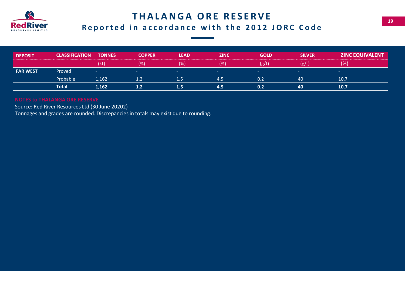

### **THALANGA ORE RESERVE**

### **Reported in accordance with the 2012 JORC Code**

| <b>DEPOSIT</b>  | <b>CLASSIFICATION</b> | <b>TONNES</b> | <b>COPPER</b> | <b>LEAD</b> | <b>ZINC</b> | <b>GOLD</b> | <b>SILVER</b>            | <b>ZINC EQUIVALENT</b>   |
|-----------------|-----------------------|---------------|---------------|-------------|-------------|-------------|--------------------------|--------------------------|
|                 |                       |               |               | .∕٥         | . Yo I      | (g/t)       | (g/t)                    | $\frac{1}{2}$            |
| <b>FAR WEST</b> | Proved                | . .           | $\sim$        | $-$         |             | $\sim$      | $\overline{\phantom{a}}$ | $\overline{\phantom{a}}$ |
|                 | Probable              | 1,162         | 1.2           | 1.5         | 4.5         | 0.2         | 40                       | 10.7                     |
|                 | <b>Total</b>          | 1,162         | 1.2           | 1.5         | 4.5         | 0.2         | 40                       | 10.7                     |

Source: Red River Resources Ltd (30 June 20202)

Tonnages and grades are rounded. Discrepancies in totals may exist due to rounding.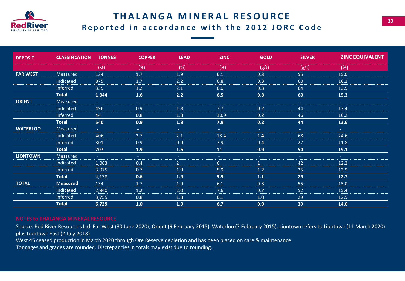

### **THALANGA MINERAL RESOURCE Reported in accordance with the 2012 JORC Code**

| <b>DEPOSIT</b>  | <b>CLASSIFICATION</b> | <b>TONNES</b>      | <b>COPPER</b>       | <b>LEAD</b>        | <b>ZINC</b>         | <b>GOLD</b>      | <b>SILVER</b>    | <b>ZINC EQUIVALENT</b> |
|-----------------|-----------------------|--------------------|---------------------|--------------------|---------------------|------------------|------------------|------------------------|
|                 |                       | (kt)               | (%)                 | (%)                | (%)                 | (g/t)            | (g/t)            | (%)                    |
| <b>FAR WEST</b> | Measured              | 134                | 1.7                 | 1.9                | 6.1                 | 0.3              | 55               | 15.0                   |
|                 | Indicated             | 875                | 1.7                 | 2.2                | 6.8                 | 0.3              | 60               | 16.1                   |
|                 | Inferred              | 335                | 1.2                 | 2.1                | 6.0                 | 0.3              | 64               | 13.5                   |
|                 | <b>Total</b>          | 1,344              | 1.6                 | 2.2                | 6.5                 | 0.3              | 60               | 15.3                   |
| <b>ORIENT</b>   | Measured              | $\Delta \sim 10^4$ | $\Delta \sim 1$     | $\Delta \sim 1$    | $\omega_{\rm{eff}}$ | $\sim 10$        | $\sim$           | $\sim 100$             |
|                 | Indicated             | 496                | 0.9                 | 1.8                | 7.7                 | 0.2              | 44               | 13.4                   |
|                 | Inferred              | 44                 | 0.8                 | 1.8                | 10.9                | 0.2              | 46               | 16.2                   |
|                 | <b>Total</b>          | 540                | 0.9                 | 1.8                | 7.9                 | 0.2              | 44               | 13.6                   |
| <b>WATERLOO</b> | Measured              | $\Delta \sim 10^4$ | $\Delta \sim 10$    | $\Delta \sim 10^4$ | $\Delta \sim 10$    | $\Delta \sim 10$ | $\Delta \sim 10$ | $\Delta \sim 10^4$     |
|                 | Indicated             | 406                | 2.7                 | 2.1                | 13.4                | 1.4              | 68               | 24.6                   |
|                 | Inferred              | 301                | 0.9                 | 0.9                | 7.9                 | 0.4              | 27               | 11.8                   |
|                 | <b>Total</b>          | 707                | 1.9                 | 1.6                | 11                  | 0.9              | 50               | 19.1                   |
| <b>LIONTOWN</b> | Measured              | $\Delta \sim 10^4$ | $\omega_{\rm{eff}}$ | $\sim 10$          | <b>Section</b>      | $\sim$ $^{-1}$   | $\sim 10$        | $\Delta \sim 10^4$     |
|                 | Indicated             | 1,063              | 0.4                 | 2 <sup>1</sup>     | 6                   | $\mathbf{1}$     | 42               | 12.2                   |
|                 | Inferred              | 3,075              | 0.7                 | 1.9                | 5.9                 | 1.2              | 25               | 12.9                   |
|                 | <b>Total</b>          | 4,138              | 0.6                 | 1.9                | 5.9                 | 1.1              | 29               | 12.7                   |
| <b>TOTAL</b>    | <b>Measured</b>       | 134                | 1.7                 | 1.9                | 6.1                 | 0.3              | 55               | 15.0                   |
|                 | Indicated             | 2,840              | 1.2                 | 2.0                | 7.6                 | 0.7              | 52               | 15.4                   |
|                 | Inferred              | 3,755              | 0.8                 | 1.8                | 6.1                 | 1.0              | 29               | 12.9                   |
|                 | <b>Total</b>          | 6,729              | 1.0                 | 1.9                | 6.7                 | 0.9              | 39               | 14.0                   |

Source: Red River Resources Ltd. Far West (30 June 2020), Orient (9 February 2015), Waterloo (7 February 2015). Liontown refers to Liontown (11 March 2020) plus Liontown East (2 July 2018)

West 45 ceased production in March 2020 through Ore Reserve depletion and has been placed on care & maintenance

Tonnages and grades are rounded. Discrepancies in totals may exist due to rounding.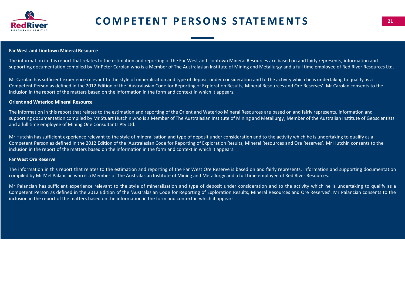

### **Far West and Liontown Mineral Resource**

The information in this report that relates to the estimation and reporting of the Far West and Liontown Mineral Resources are based on and fairly represents, information and supporting documentation compiled by Mr Peter Carolan who is a Member of The Australasian Institute of Mining and Metallurgy and a full time employee of Red River Resources Ltd.

Mr Carolan has sufficient experience relevant to the style of mineralisation and type of deposit under consideration and to the activity which he is undertaking to qualify as a Competent Person as defined in the 2012 Edition of the 'Australasian Code for Reporting of Exploration Results, Mineral Resources and Ore Reserves'. Mr Carolan consents to the inclusion in the report of the matters based on the information in the form and context in which it appears.

### **Orient and Waterloo Mineral Resource**

The information in this report that relates to the estimation and reporting of the Orient and Waterloo Mineral Resources are based on and fairly represents, information and supporting documentation compiled by Mr Stuart Hutchin who is a Member of The Australasian Institute of Mining and Metallurgy, Member of the Australian Institute of Geoscientists and a full time employee of Mining One Consultants Pty Ltd.

Mr Hutchin has sufficient experience relevant to the style of mineralisation and type of deposit under consideration and to the activity which he is undertaking to qualify as a Competent Person as defined in the 2012 Edition of the 'Australasian Code for Reporting of Exploration Results, Mineral Resources and Ore Reserves'. Mr Hutchin consents to the inclusion in the report of the matters based on the information in the form and context in which it appears.

### **Far West Ore Reserve**

The information in this report that relates to the estimation and reporting of the Far West Ore Reserve is based on and fairly represents, information and supporting documentation compiled by Mr Mel Palancian who is a Member of The Australasian Institute of Mining and Metallurgy and a full time employee of Red River Resources.

Mr Palancian has sufficient experience relevant to the style of mineralisation and type of deposit under consideration and to the activity which he is undertaking to qualify as a Competent Person as defined in the 2012 Edition of the 'Australasian Code for Reporting of Exploration Results, Mineral Resources and Ore Reserves'. Mr Palancian consents to the inclusion in the report of the matters based on the information in the form and context in which it appears.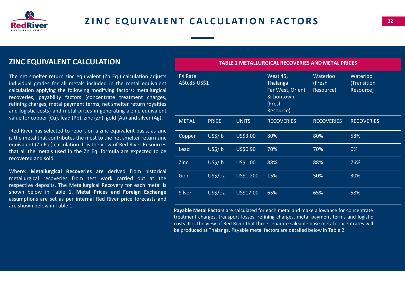

### **ZINC EQUIVALENT CALCULATION**

The net smelter return zinc equivalent (Zn Eq.) calculation adjusts individual grades for all metals included in the metal equivalent calculation applying the following modifying factors: metallurgical recoveries, payability factors (concentrate treatment charges, refining charges, metal payment terms, net smelter return royalties and logistic costs) and metal prices in generating a zinc equivalent value for copper (Cu), lead (Pb), zinc (Zn), gold (Au) and silver (Ag).

Red River has selected to report on a zinc equivalent basis, as zinc is the metal that contributes the most to the net smelter return zinc equivalent (Zn Eq.) calculation. It is the view of Red River Resources that all the metals used in the Zn Eq. formula are expected to be recovered and sold.

Where: **Metallurgical Recoveries** are derived from historical metallurgical recoveries from test work carried out at the respective deposits. The Metallurgical Recovery for each metal is shown below in Table 1. **Metal Prices and Foreign Exchange** assumptions are set as per internal Red River price forecasts and are shown below in Table 1.

**TABLE 1 METALLURGICAL RECOVERIES AND METAL PRICES**

| <b>FX Rate:</b><br>A\$0.85:US\$1 |              |              | <b>West 45,</b><br><b>Thalanga</b><br>Far West, Orient<br>& Liontown<br>(Fresh<br>Resource) | Waterloo<br>(Fresh<br>Resource) | Waterloo<br>(Transition<br>Resource) |
|----------------------------------|--------------|--------------|---------------------------------------------------------------------------------------------|---------------------------------|--------------------------------------|
| <b>METAL</b>                     | <b>PRICE</b> | <b>UNITS</b> | <b>RECOVERIES</b>                                                                           | <b>RECOVERIES</b>               | <b>RECOVERIES</b>                    |
| Copper                           | US\$/lb      | US\$3.00     | 80%                                                                                         | 80%                             | 58%                                  |
| Lead                             | US\$/lb      | US\$0.90     | 70%                                                                                         | 70%                             | 0%                                   |
| Zinc                             | US\$/lb      | US\$1.00     | 88%                                                                                         | 88%                             | 76%                                  |
| Gold                             | US\$/oz      | US\$1,200    | 15%                                                                                         | 50%                             | 30%                                  |
| Silver                           | US\$/oz      | US\$17.00    | 65%                                                                                         | 65%                             | 58%                                  |

**Payable Metal Factors** are calculated for each metal and make allowance for concentrate treatment charges, transport losses, refining charges, metal payment terms and logistic costs. It is the view of Red River that three separate saleable base metal concentrates will be produced at Thalanga. Payable metal factors are detailed below in Table 2.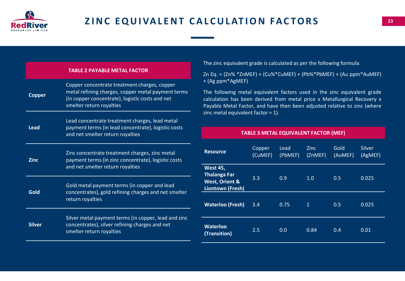

|               | <b>TABLE 2 PAYABLE METAL FACTOR</b>                                                                                                                                               |
|---------------|-----------------------------------------------------------------------------------------------------------------------------------------------------------------------------------|
| <b>Copper</b> | Copper concentrate treatment charges, copper<br>metal refining charges, copper metal payment terms<br>(in copper concentrate), logistic costs and net<br>smelter return royalties |
| Lead          | Lead concentrate treatment charges, lead metal<br>payment terms (in lead concentrate), logistic costs<br>and net smelter return royalties                                         |
| Zinc          | Zinc concentrate treatment charges, zinc metal<br>payment terms (in zinc concentrate), logistic costs<br>and net smelter return royalties                                         |
| Gold          | Gold metal payment terms (in copper and lead<br>concentrates), gold refining charges and net smelter<br>return royalties                                                          |
| Silver        | Silver metal payment terms (in copper, lead and zinc<br>concentrates), silver refining charges and net<br>smelter return royalties                                                |

The zinc equivalent grade is calculated as per the following formula:

Zn Eq. = (Zn% \*ZnMEF) + (Cu%\*CuMEF) + (Pb%\*PbMEF) + (Au ppm\*AuMEF) + (Ag ppm\*AgMEF)

The following metal equivalent factors used in the zinc equivalent grade calculation has been derived from metal price x Metallurgical Recovery x Payable Metal Factor, and have then been adjusted relative to zinc (where zinc metal equivalent factor = 1).

**TABLE 3 METAL EQUIVALENT FACTOR (MEF)**

| <b>Resource</b>                                                                         | Copper<br>(CuMEF) | Lead<br>(PbMEF) | <b>Zinc</b><br>(ZnMEF) | Gold<br>(AuMEF) | <b>Silver</b><br>(AgMEF) |
|-----------------------------------------------------------------------------------------|-------------------|-----------------|------------------------|-----------------|--------------------------|
| <b>West 45,</b><br><b>Thalanga Far</b><br><b>West, Orient &amp;</b><br>Liontown (Fresh) | 3.3               | 0.9             | 1.0                    | 0.5             | 0.025                    |
| <b>Waterloo (Fresh)</b>                                                                 | 3.4               | 0.75            | $\mathbf{1}$           | 0.5             | 0.025                    |
| <b>Waterloo</b><br>(Transition)                                                         | 2.5               | 0.0             | 0.84                   | 0.4             | 0.01                     |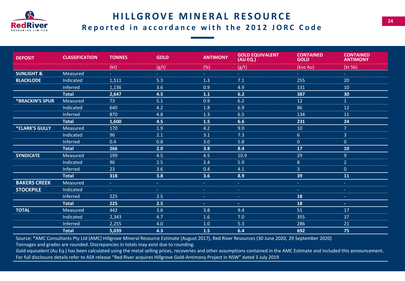

### **HILLGROVE MINERAL RESOURCE Reported in accordance with the 2012 JORC Code**

| <b>DEPOSIT</b>         | <b>CLASSIFICATION</b> | <b>TONNES</b>      | <b>GOLD</b>         | <b>ANTIMONY</b> | <b>GOLD EQUIVALENT</b><br>(AU EQ.) | <b>CONTAINED</b><br><b>GOLD</b> | <b>CONTAINED</b><br><b>ANTIMONY</b> |
|------------------------|-----------------------|--------------------|---------------------|-----------------|------------------------------------|---------------------------------|-------------------------------------|
|                        |                       | (kt)               | (g/t)               | (%)             | (g/t)                              | (koz Au)                        | (kt Sb)                             |
| <b>SUNLIGHT &amp;</b>  | Measured              | $\Delta \sim 10^4$ | $\Delta \sim 10$    | $\Delta \phi$   | a i                                | $\omega_{\rm{max}}$             | $\Delta \sim 1$                     |
| <b>BLACKLODE</b>       | Indicated             | 1,511              | 5.3                 | 1.3             | 7.1                                | 255                             | 20                                  |
|                        | Inferred              | 1,136              | 3.6                 | 0.9             | 4.9                                | 131                             | 10                                  |
|                        | <b>Total</b>          | 2,647              | 4.5                 | 1.1             | 6.2                                | 387                             | 30                                  |
| <b>*BRACKIN'S SPUR</b> | Measured              | 73                 | 5.1                 | 0.9             | 6.2                                | 12                              | $\mathbf{1}$                        |
|                        | Indicated             | 640                | 4.2                 | 1.8             | 6.9                                | 86                              | 12                                  |
|                        | Inferred              | 870                | 4.8                 | 1.3             | 6.5                                | 134                             | 11                                  |
|                        | <b>Total</b>          | 1,600              | 4.5                 | 1.5             | 6.6                                | 231                             | 24                                  |
| *CLARK'S GULLY         | Measured              | 170                | 1.9                 | 4.2             | 9.0                                | 10                              | 7 <sup>1</sup>                      |
|                        | Indicated             | 96                 | 2.1                 | 3.1             | 7.3                                | 6 <sup>1</sup>                  | $\overline{3}$                      |
|                        | Inferred              | 0.4                | 0.8                 | 3.0             | 5.8                                | $\overline{0}$                  | $\pmb{0}$                           |
|                        | <b>Total</b>          | 266                | 2.0                 | 3.8             | 8.4                                | 17                              | 10                                  |
| <b>SYNDICATE</b>       | Measured              | 199                | 4.5                 | 4.5             | 10.9                               | 29                              | 9                                   |
|                        | Indicated             | 96                 | 2.5                 | 2.4             | 5.9                                | 8                               | $\overline{2}$                      |
|                        | Inferred              | 23                 | 3.6                 | 0.4             | 4.1                                | $\mathbf{3}$                    | $\mathbf{0}$                        |
|                        | <b>Total</b>          | 318                | 3.8                 | 3.6             | 8.9                                | 39                              | 11                                  |
| <b>BAKERS CREEK</b>    | Measured              | $\omega_{\rm c}$   | $\Delta \sim 10$    | $\sim 10$       | $\omega_{\rm{eff}}$                | $\sim$ $^{-1}$                  | $\sim 10$                           |
| <b>STOCKPILE</b>       | Indicated             | $\sim$             | $\omega_{\rm{eff}}$ | $\sim$          | $\sim$ .                           | $\omega_{\rm{eff}}$             | $\sim$                              |
|                        | Inferred              | 225                | 2.5                 | $\sim$          | $\sim$                             | 18                              | $\sim$                              |
|                        | <b>Total</b>          | 225                | 2.5                 | $\sim$          | $\sim$                             | 18                              | $\pm$ .                             |
| <b>TOTAL</b>           | Measured              | 442                | 3.6                 | 3.8             | 9.4                                | 51                              | 17                                  |
|                        | Indicated             | 2,343              | 4.7                 | 1.6             | 7.0                                | 355                             | 37                                  |
|                        | Inferred              | 2,255              | 4.0                 | 1.0             | 5.3                                | 286                             | 21                                  |
|                        | <b>Total</b>          | 5,039              | 4.3                 | $1.5$           | 6.4                                | 692                             | 75                                  |

Source: \*AMC Consultants Pty Ltd (AMC) Hillgrove Mineral Resource Estimate (August 2017), Red River Resources (30 June 2020, 29 September 2020)

Tonnages and grades are rounded. Discrepancies in totals may exist due to rounding.

Gold equivalent (Au Eq.) has been calculated using the metal selling prices, recoveries and other assumptions contained in the AMC Estimate and included this announcement. For full disclosure details refer to ASX release "Red River acquires Hillgrove Gold-Antimony Project in NSW" dated 3 July 2019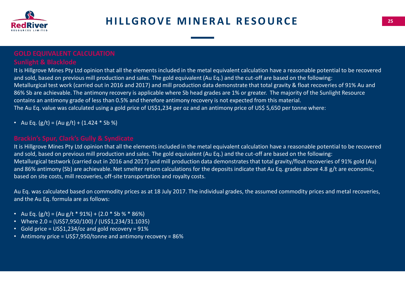

It is Hillgrove Mines Pty Ltd opinion that all the elements included in the metal equivalent calculation have a reasonable potential to be recovered and sold, based on previous mill production and sales. The gold equivalent (Au Eq.) and the cut-off are based on the following: Metallurgical test work (carried out in 2016 and 2017) and mill production data demonstrate that total gravity & float recoveries of 91% Au and 86% Sb are achievable. The antimony recovery is applicable where Sb head grades are 1% or greater. The majority of the Sunlight Resource contains an antimony grade of less than 0.5% and therefore antimony recovery is not expected from this material. The Au Eq. value was calculated using a gold price of US\$1,234 per oz and an antimony price of US\$ 5,650 per tonne where:

• Au Eq.  $(g/t) = (Au g/t) + (1.424 * Sb %)$ 

It is Hillgrove Mines Pty Ltd opinion that all the elements included in the metal equivalent calculation have a reasonable potential to be recovered and sold, based on previous mill production and sales. The gold equivalent (Au Eq.) and the cut-off are based on the following: Metallurgical testwork (carried out in 2016 and 2017) and mill production data demonstrates that total gravity/float recoveries of 91% gold (Au) and 86% antimony (Sb) are achievable. Net smelter return calculations for the deposits indicate that Au Eq. grades above 4.8 g/t are economic, based on site costs, mill recoveries, off-site transportation and royalty costs.

Au Eq. was calculated based on commodity prices as at 18 July 2017. The individual grades, the assumed commodity prices and metal recoveries, and the Au Eq. formula are as follows:

- Au Eq.  $(g/t) = (Au g/t * 91%) + (2.0 * Sb % * 86%)$
- Where 2.0 = (US\$7,950/100) / (US\$1,234/31.1035)
- Gold price = US\$1,234/oz and gold recovery = 91%
- Antimony price = US\$7,950/tonne and antimony recovery = 86%